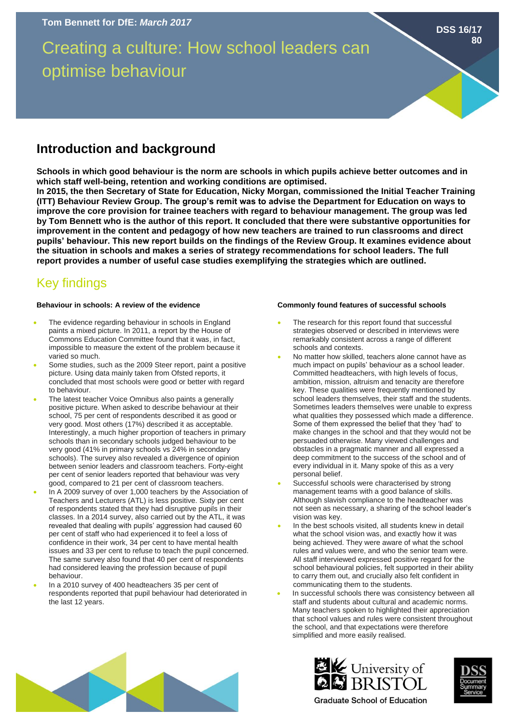Creating a culture: How school leaders can optimise behaviour

## **Introduction and background**

**Schools in which good behaviour is the norm are schools in which pupils achieve better outcomes and in which staff well-being, retention and working conditions are optimised.** 

**In 2015, the then Secretary of State for Education, Nicky Morgan, commissioned the Initial Teacher Training (ITT) Behaviour Review Group. The group's remit was to advise the Department for Education on ways to improve the core provision for trainee teachers with regard to behaviour management. The group was led by Tom Bennett who is the author of this report. It concluded that there were substantive opportunities for improvement in the content and pedagogy of how new teachers are trained to run classrooms and direct pupils' behaviour. This new report builds on the findings of the Review Group. It examines evidence about the situation in schools and makes a series of strategy recommendations for school leaders. The full report provides a number of useful case studies exemplifying the strategies which are outlined.** 

# Key findings

### **Behaviour in schools: A review of the evidence**

- The evidence regarding behaviour in schools in England paints a mixed picture. In 2011, a report by the House of Commons Education Committee found that it was, in fact, impossible to measure the extent of the problem because it varied so much.
- Some studies, such as the 2009 Steer report, paint a positive picture. Using data mainly taken from Ofsted reports, it concluded that most schools were good or better with regard to behaviour.
- The latest teacher Voice Omnibus also paints a generally positive picture. When asked to describe behaviour at their school, 75 per cent of respondents described it as good or very good. Most others (17%) described it as acceptable. Interestingly, a much higher proportion of teachers in primary schools than in secondary schools judged behaviour to be very good (41% in primary schools vs 24% in secondary schools). The survey also revealed a divergence of opinion between senior leaders and classroom teachers. Forty-eight per cent of senior leaders reported that behaviour was very good, compared to 21 per cent of classroom teachers.
- In A 2009 survey of over 1,000 teachers by the Association of Teachers and Lecturers (ATL) is less positive. Sixty per cent of respondents stated that they had disruptive pupils in their classes. In a 2014 survey, also carried out by the ATL, it was revealed that dealing with pupils' aggression had caused 60 per cent of staff who had experienced it to feel a loss of confidence in their work, 34 per cent to have mental health issues and 33 per cent to refuse to teach the pupil concerned. The same survey also found that 40 per cent of respondents had considered leaving the profession because of pupil behaviour.
- In a 2010 survey of 400 headteachers 35 per cent of respondents reported that pupil behaviour had deteriorated in the last 12 years.

#### **Commonly found features of successful schools**

- The research for this report found that successful strategies observed or described in interviews were remarkably consistent across a range of different schools and contexts.
- No matter how skilled, teachers alone cannot have as much impact on pupils' behaviour as a school leader. Committed headteachers, with high levels of focus, ambition, mission, altruism and tenacity are therefore key. These qualities were frequently mentioned by school leaders themselves, their staff and the students. Sometimes leaders themselves were unable to express what qualities they possessed which made a difference. Some of them expressed the belief that they 'had' to make changes in the school and that they would not be persuaded otherwise. Many viewed challenges and obstacles in a pragmatic manner and all expressed a deep commitment to the success of the school and of every individual in it. Many spoke of this as a very personal belief.
- Successful schools were characterised by strong management teams with a good balance of skills. Although slavish compliance to the headteacher was not seen as necessary, a sharing of the school leader's vision was key.
- In the best schools visited, all students knew in detail what the school vision was, and exactly how it was being achieved. They were aware of what the school rules and values were, and who the senior team were. All staff interviewed expressed positive regard for the school behavioural policies, felt supported in their ability to carry them out, and crucially also felt confident in communicating them to the students.
- In successful schools there was consistency between all staff and students about cultural and academic norms. Many teachers spoken to highlighted their appreciation that school values and rules were consistent throughout the school, and that expectations were therefore simplified and more easily realised.







**DSS 16/17**

**80**

**Graduate School of Education**